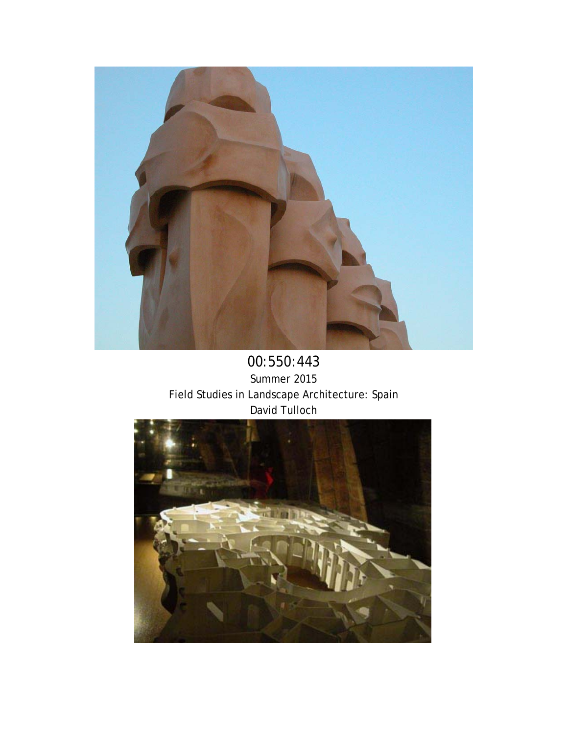

00:550:443 Summer 2015 Field Studies in Landscape Architecture: Spain David Tulloch

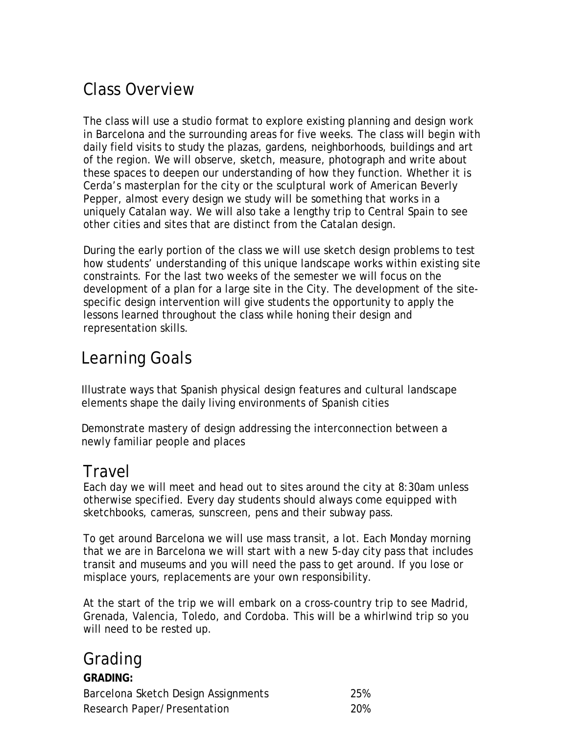# Class Overview

The class will use a studio format to explore existing planning and design work in Barcelona and the surrounding areas for five weeks. The class will begin with daily field visits to study the plazas, gardens, neighborhoods, buildings and art of the region. We will observe, sketch, measure, photograph and write about these spaces to deepen our understanding of how they function. Whether it is Cerda's masterplan for the city or the sculptural work of American Beverly Pepper, almost every design we study will be something that works in a uniquely Catalan way. We will also take a lengthy trip to Central Spain to see other cities and sites that are distinct from the Catalan design.

During the early portion of the class we will use sketch design problems to test how students' understanding of this unique landscape works within existing site constraints. For the last two weeks of the semester we will focus on the development of a plan for a large site in the City. The development of the sitespecific design intervention will give students the opportunity to apply the lessons learned throughout the class while honing their design and representation skills.

# Learning Goals

Illustrate ways that Spanish physical design features and cultural landscape elements shape the daily living environments of Spanish cities

Demonstrate mastery of design addressing the interconnection between a newly familiar people and places

## Travel

Each day we will meet and head out to sites around the city at 8:30am unless otherwise specified. Every day students should always come equipped with sketchbooks, cameras, sunscreen, pens and their subway pass.

To get around Barcelona we will use mass transit, a lot. Each Monday morning that we are in Barcelona we will start with a new 5-day city pass that includes transit and museums and you will need the pass to get around. If you lose or misplace yours, replacements are your own responsibility.

At the start of the trip we will embark on a cross-country trip to see Madrid, Grenada, Valencia, Toledo, and Cordoba. This will be a whirlwind trip so you will need to be rested up.

## Grading

| <b>GRADING:</b>                     |            |
|-------------------------------------|------------|
| Barcelona Sketch Design Assignments | 25%        |
| Research Paper/Presentation         | <b>20%</b> |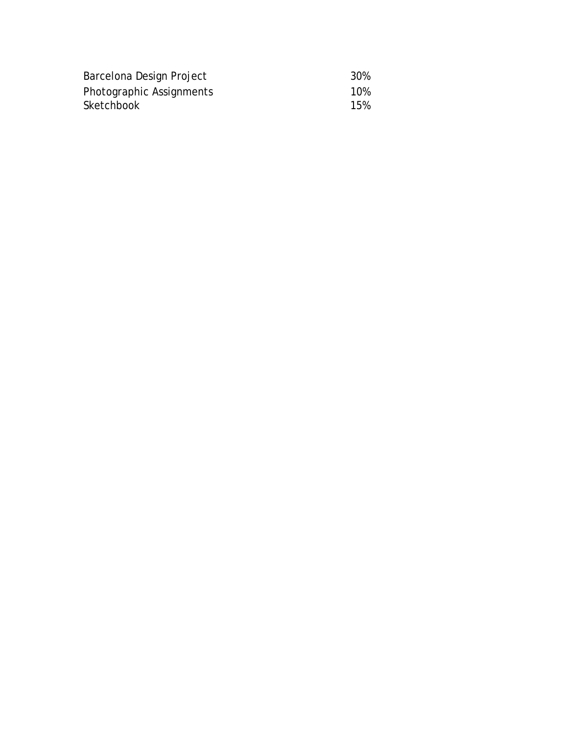| Barcelona Design Project | 30% |
|--------------------------|-----|
| Photographic Assignments | 10% |
| Sketchbook               | 15% |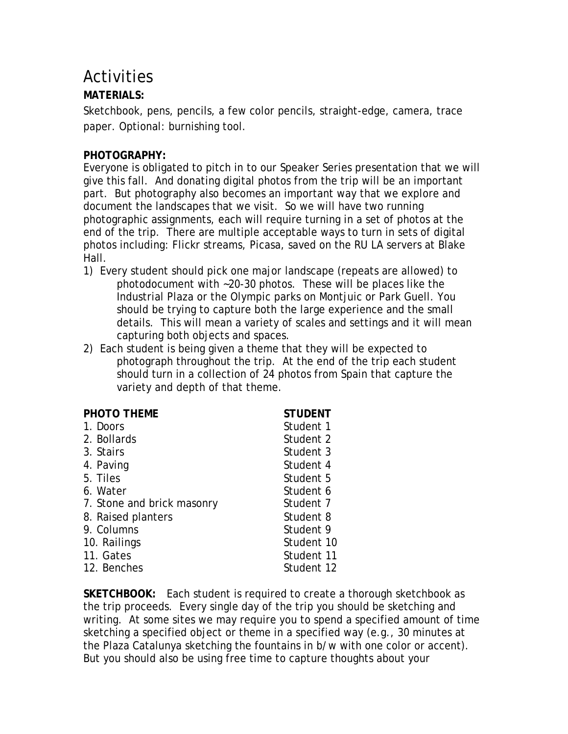## **Activities**

### **MATERIALS:**

Sketchbook, pens, pencils, a few color pencils, straight-edge, camera, trace paper. Optional: burnishing tool.

### **PHOTOGRAPHY:**

Everyone is obligated to pitch in to our Speaker Series presentation that we will give this fall. And donating digital photos from the trip will be an important part. But photography also becomes an important way that we explore and document the landscapes that we visit. So we will have two running photographic assignments, each will require turning in a set of photos at the end of the trip. There are multiple acceptable ways to turn in sets of digital photos including: Flickr streams, Picasa, saved on the RU LA servers at Blake Hall.

- 1) Every student should pick one major landscape (repeats are allowed) to photodocument with ~20-30 photos. These will be places like the Industrial Plaza or the Olympic parks on Montjuic or Park Guell. You should be trying to capture both the large experience and the small details. This will mean a variety of scales and settings and it will mean capturing both objects and spaces.
- 2) Each student is being given a theme that they will be expected to photograph throughout the trip. At the end of the trip each student should turn in a collection of 24 photos from Spain that capture the variety and depth of that theme.

| <b>STUDENT</b> |
|----------------|
| Student 1      |
| Student 2      |
| Student 3      |
| Student 4      |
| Student 5      |
| Student 6      |
| Student 7      |
| Student 8      |
| Student 9      |
| Student 10     |
| Student 11     |
| Student 12     |
|                |

**SKETCHBOOK:** Each student is required to create a thorough sketchbook as the trip proceeds. Every single day of the trip you should be sketching and writing. At some sites we may require you to spend a specified amount of time sketching a specified object or theme in a specified way (e.g., 30 minutes at the Plaza Catalunya sketching the fountains in b/w with one color or accent). But you should also be using free time to capture thoughts about your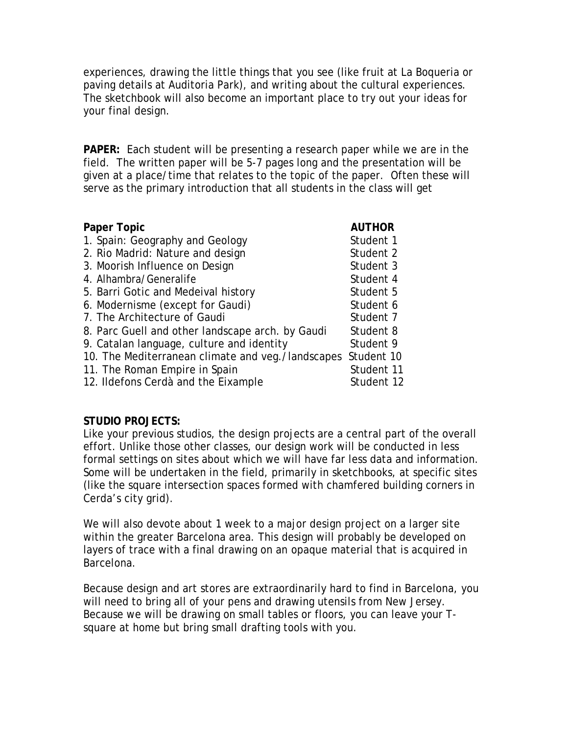experiences, drawing the little things that you see (like fruit at La Boqueria or paving details at Auditoria Park), and writing about the cultural experiences. The sketchbook will also become an important place to try out your ideas for your final design.

**PAPER:** Each student will be presenting a research paper while we are in the field. The written paper will be 5-7 pages long and the presentation will be given at a place/time that relates to the topic of the paper. Often these will serve as the primary introduction that all students in the class will get

| <b>AUTHOR</b> |
|---------------|
| Student 1     |
| Student 2     |
| Student 3     |
| Student 4     |
| Student 5     |
| Student 6     |
| Student 7     |
| Student 8     |
| Student 9     |
| Student 10    |
| Student 11    |
| Student 12    |
|               |

### **STUDIO PROJECTS:**

Like your previous studios, the design projects are a central part of the overall effort. Unlike those other classes, our design work will be conducted in less formal settings on sites about which we will have far less data and information. Some will be undertaken in the field, primarily in sketchbooks, at specific sites (like the square intersection spaces formed with chamfered building corners in Cerda's city grid).

We will also devote about 1 week to a major design project on a larger site within the greater Barcelona area. This design will probably be developed on layers of trace with a final drawing on an opaque material that is acquired in Barcelona.

Because design and art stores are extraordinarily hard to find in Barcelona, you will need to bring all of your pens and drawing utensils from New Jersey. Because we will be drawing on small tables or floors, you can leave your Tsquare at home but bring small drafting tools with you.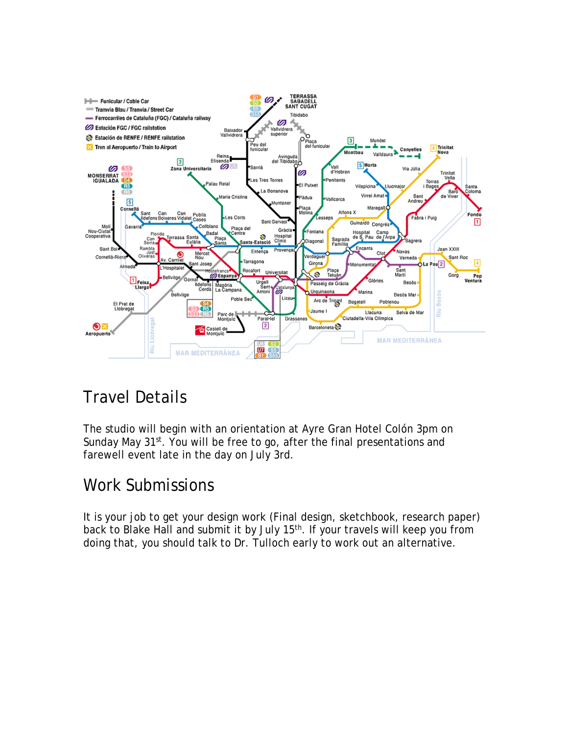

# Travel Details

The studio will begin with an orientation at Ayre Gran Hotel Colón 3pm on Sunday May 31<sup>st</sup>. You will be free to go, after the final presentations and farewell event late in the day on July 3rd.

# Work Submissions

It is your job to get your design work (Final design, sketchbook, research paper) back to Blake Hall and submit it by July 15<sup>th</sup>. If your travels will keep you from doing that, you should talk to Dr. Tulloch early to work out an alternative.